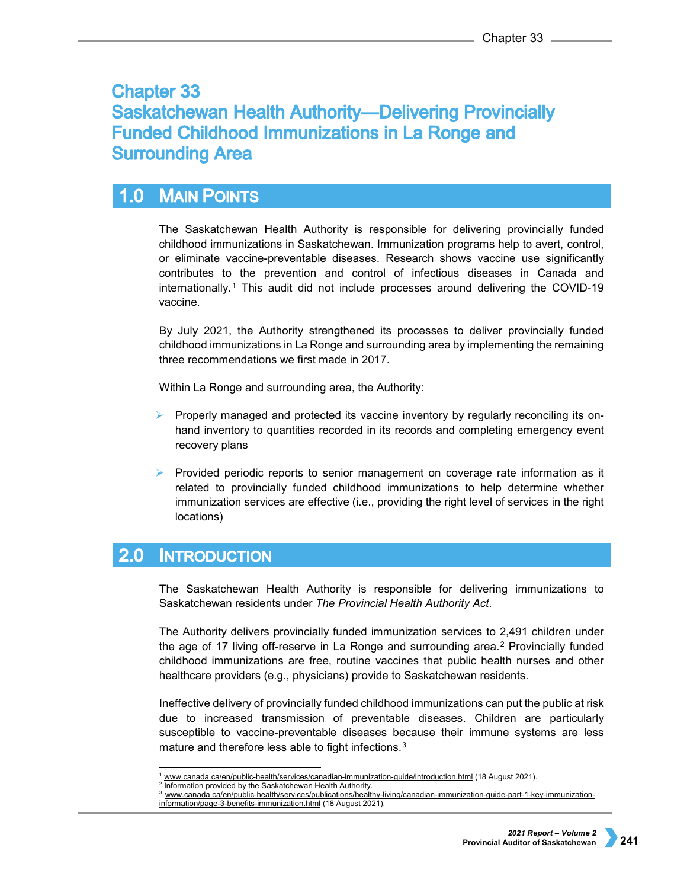# **Chapter 33 Saskatchewan Health Authority-Delivering Provincially Funded Childhood Immunizations in La Ronge and Surrounding Area**

### **MAIN POINTS**  $1.0$

The Saskatchewan Health Authority is responsible for delivering provincially funded childhood immunizations in Saskatchewan. Immunization programs help to avert, control, or eliminate vaccine-preventable diseases. Research shows vaccine use significantly contributes to the prevention and control of infectious diseases in Canada and internationally.[1](#page-0-0) This audit did not include processes around delivering the COVID-19 vaccine.

By July 2021, the Authority strengthened its processes to deliver provincially funded childhood immunizations in La Ronge and surrounding area by implementing the remaining three recommendations we first made in 2017.

Within La Ronge and surrounding area, the Authority:

- $\triangleright$  Properly managed and protected its vaccine inventory by regularly reconciling its onhand inventory to quantities recorded in its records and completing emergency event recovery plans
- $\triangleright$  Provided periodic reports to senior management on coverage rate information as it related to provincially funded childhood immunizations to help determine whether immunization services are effective (i.e., providing the right level of services in the right locations)

### $2.0$ **INTRODUCTION**

The Saskatchewan Health Authority is responsible for delivering immunizations to Saskatchewan residents under *The Provincial Health Authority Act*.

The Authority delivers provincially funded immunization services to 2,491 children under the age of 17 living off-reserve in La Ronge and surrounding area.[2](#page-0-1) Provincially funded childhood immunizations are free, routine vaccines that public health nurses and other healthcare providers (e.g., physicians) provide to Saskatchewan residents.

Ineffective delivery of provincially funded childhood immunizations can put the public at risk due to increased transmission of preventable diseases. Children are particularly susceptible to vaccine-preventable diseases because their immune systems are less mature and therefore less able to fight infections.[3](#page-0-2)

[www.canada.ca/en/public-health/services/canadian-immunization-guide/introduction.html](http://www.canada.ca/en/public-health/services/canadian-immunization-guide/introduction.html) (18 August 2021).

<span id="page-0-2"></span><span id="page-0-1"></span><span id="page-0-0"></span><sup>&</sup>lt;sup>2</sup> Information provided by the Saskatchewan Health Authority.

<sup>3</sup> [www.canada.ca/en/public-health/services/publications/healthy-living/canadian-immunization-guide-part-1-key-immunization](http://www.canada.ca/en/public-health/services/publications/healthy-living/canadian-immunization-guide-part-1-key-immunization-information/page-3-benefits-immunization.html)[information/page-3-benefits-immunization.html](http://www.canada.ca/en/public-health/services/publications/healthy-living/canadian-immunization-guide-part-1-key-immunization-information/page-3-benefits-immunization.html) (18 August 2021).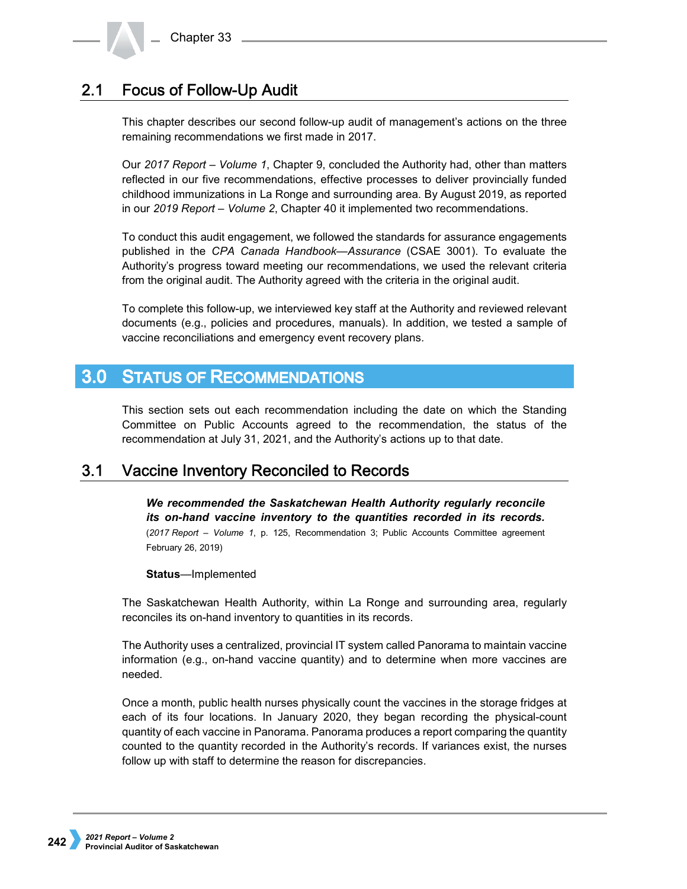### **Focus of Follow-Up Audit**  $2.1$

This chapter describes our second follow-up audit of management's actions on the three remaining recommendations we first made in 2017.

Our *2017 Report – Volume 1*, Chapter 9, concluded the Authority had, other than matters reflected in our five recommendations, effective processes to deliver provincially funded childhood immunizations in La Ronge and surrounding area. By August 2019, as reported in our *2019 Report – Volume 2*, Chapter 40 it implemented two recommendations.

To conduct this audit engagement, we followed the standards for assurance engagements published in the *CPA Canada Handbook—Assurance* (CSAE 3001). To evaluate the Authority's progress toward meeting our recommendations, we used the relevant criteria from the original audit. The Authority agreed with the criteria in the original audit.

To complete this follow-up, we interviewed key staff at the Authority and reviewed relevant documents (e.g., policies and procedures, manuals). In addition, we tested a sample of vaccine reconciliations and emergency event recovery plans.

### **STATUS OF RECOMMENDATIONS**  $3.0<sub>1</sub>$

This section sets out each recommendation including the date on which the Standing Committee on Public Accounts agreed to the recommendation, the status of the recommendation at July 31, 2021, and the Authority's actions up to that date.

### $3.1$ **Vaccine Inventory Reconciled to Records**

*We recommended the Saskatchewan Health Authority regularly reconcile its on-hand vaccine inventory to the quantities recorded in its records.* (*2017 Report – Volume 1*, p. 125, Recommendation 3; Public Accounts Committee agreement February 26, 2019)

# **Status**—Implemented

The Saskatchewan Health Authority, within La Ronge and surrounding area, regularly reconciles its on-hand inventory to quantities in its records.

The Authority uses a centralized, provincial IT system called Panorama to maintain vaccine information (e.g., on-hand vaccine quantity) and to determine when more vaccines are needed.

Once a month, public health nurses physically count the vaccines in the storage fridges at each of its four locations. In January 2020, they began recording the physical-count quantity of each vaccine in Panorama. Panorama produces a report comparing the quantity counted to the quantity recorded in the Authority's records. If variances exist, the nurses follow up with staff to determine the reason for discrepancies.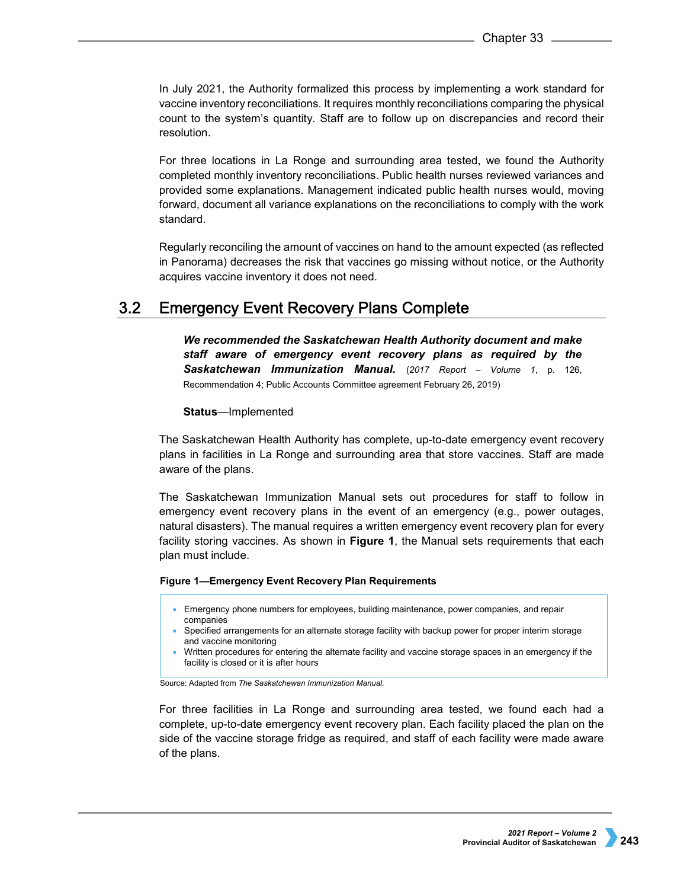In July 2021, the Authority formalized this process by implementing a work standard for vaccine inventory reconciliations. It requires monthly reconciliations comparing the physical count to the system's quantity. Staff are to follow up on discrepancies and record their resolution.

For three locations in La Ronge and surrounding area tested, we found the Authority completed monthly inventory reconciliations. Public health nurses reviewed variances and provided some explanations. Management indicated public health nurses would, moving forward, document all variance explanations on the reconciliations to comply with the work standard.

Regularly reconciling the amount of vaccines on hand to the amount expected (as reflected in Panorama) decreases the risk that vaccines go missing without notice, or the Authority acquires vaccine inventory it does not need.

### **Emergency Event Recovery Plans Complete**  $3.2$

*We recommended the Saskatchewan Health Authority document and make staff aware of emergency event recovery plans as required by the Saskatchewan Immunization Manual.* (*2017 Report – Volume 1*, p. 126, Recommendation 4; Public Accounts Committee agreement February 26, 2019)

## **Status**—Implemented

The Saskatchewan Health Authority has complete, up-to-date emergency event recovery plans in facilities in La Ronge and surrounding area that store vaccines. Staff are made aware of the plans.

The Saskatchewan Immunization Manual sets out procedures for staff to follow in emergency event recovery plans in the event of an emergency (e.g., power outages, natural disasters). The manual requires a written emergency event recovery plan for every facility storing vaccines. As shown in **Figure 1**, the Manual sets requirements that each plan must include.

## **Figure 1—Emergency Event Recovery Plan Requirements**

- Emergency phone numbers for employees, building maintenance, power companies, and repair companies
- Specified arrangements for an alternate storage facility with backup power for proper interim storage and vaccine monitoring
- Written procedures for entering the alternate facility and vaccine storage spaces in an emergency if the facility is closed or it is after hours

Source: Adapted from *The Saskatchewan Immunization Manual*.

For three facilities in La Ronge and surrounding area tested, we found each had a complete, up-to-date emergency event recovery plan. Each facility placed the plan on the side of the vaccine storage fridge as required, and staff of each facility were made aware of the plans.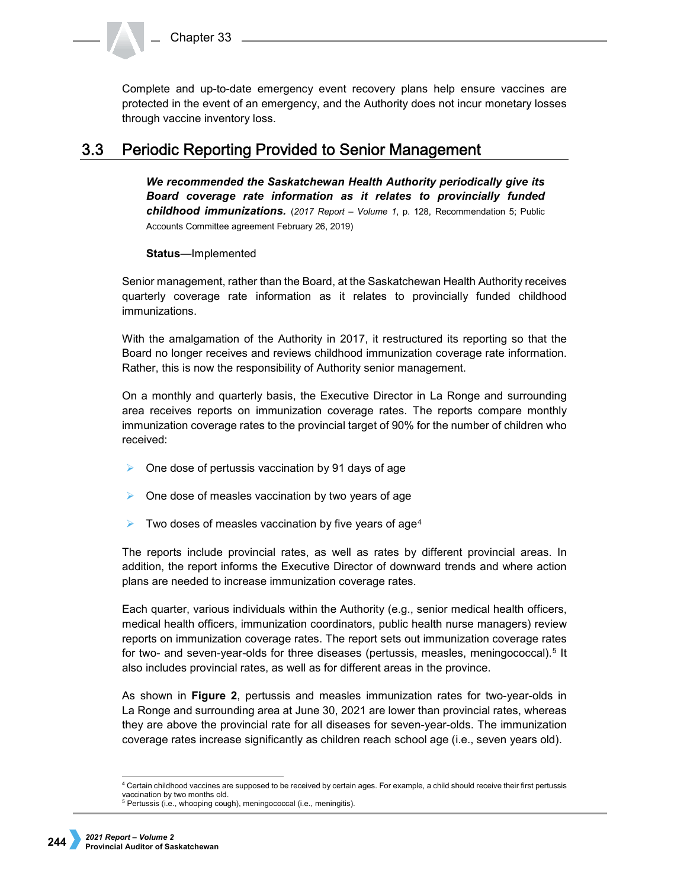Complete and up-to-date emergency event recovery plans help ensure vaccines are protected in the event of an emergency, and the Authority does not incur monetary losses through vaccine inventory loss.

#### **Periodic Reporting Provided to Senior Management**  $3.3$

*We recommended the Saskatchewan Health Authority periodically give its Board coverage rate information as it relates to provincially funded childhood immunizations.* (*2017 Report – Volume 1*, p. 128, Recommendation 5; Public Accounts Committee agreement February 26, 2019)

**Status**—Implemented

Senior management, rather than the Board, at the Saskatchewan Health Authority receives quarterly coverage rate information as it relates to provincially funded childhood immunizations.

With the amalgamation of the Authority in 2017, it restructured its reporting so that the Board no longer receives and reviews childhood immunization coverage rate information. Rather, this is now the responsibility of Authority senior management.

On a monthly and quarterly basis, the Executive Director in La Ronge and surrounding area receives reports on immunization coverage rates. The reports compare monthly immunization coverage rates to the provincial target of 90% for the number of children who received:

- $\triangleright$  One dose of pertussis vaccination by 91 days of age
- $\triangleright$  One dose of measles vaccination by two years of age
- $\triangleright$  Two doses of measles vaccination by five years of age<sup>[4](#page-3-0)</sup>

The reports include provincial rates, as well as rates by different provincial areas. In addition, the report informs the Executive Director of downward trends and where action plans are needed to increase immunization coverage rates.

Each quarter, various individuals within the Authority (e.g., senior medical health officers, medical health officers, immunization coordinators, public health nurse managers) review reports on immunization coverage rates. The report sets out immunization coverage rates for two- and seven-year-olds for three diseases (pertussis, measles, meningococcal).<sup>[5](#page-3-1)</sup> It also includes provincial rates, as well as for different areas in the province.

As shown in **Figure 2**, pertussis and measles immunization rates for two-year-olds in La Ronge and surrounding area at June 30, 2021 are lower than provincial rates, whereas they are above the provincial rate for all diseases for seven-year-olds. The immunization coverage rates increase significantly as children reach school age (i.e., seven years old).

<span id="page-3-0"></span> <sup>4</sup> Certain childhood vaccines are supposed to be received by certain ages. For example, a child should receive their first pertussis vaccination by two months old.

<span id="page-3-1"></span><sup>5</sup> Pertussis (i.e., whooping cough), meningococcal (i.e., meningitis).